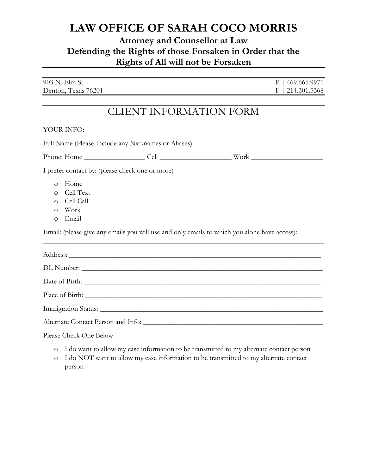### **Attorney and Counsellor at Law Defending the Rights of those Forsaken in Order that the Rights of All will not be Forsaken**

| 903 N. Elm St.      | P. | 469.665.9971       |
|---------------------|----|--------------------|
| Denton, Texas 76201 |    | $F$   214.301.5368 |

## CLIENT INFORMATION FORM

#### YOUR INFO:

| Full Name (Please Include any Nicknames or Aliases): ____________________________ |                                                                                                                                                                                                                                                                                                                                    |  |                                                                                              |  |  |  |  |
|-----------------------------------------------------------------------------------|------------------------------------------------------------------------------------------------------------------------------------------------------------------------------------------------------------------------------------------------------------------------------------------------------------------------------------|--|----------------------------------------------------------------------------------------------|--|--|--|--|
|                                                                                   |                                                                                                                                                                                                                                                                                                                                    |  |                                                                                              |  |  |  |  |
| I prefer contact by: (please check one or more)                                   |                                                                                                                                                                                                                                                                                                                                    |  |                                                                                              |  |  |  |  |
| $\bigcirc$<br>$\circ$<br>$\circ$<br>$\circ$<br>$\circ$                            | Home<br>Cell Text<br>Cell Call<br>Work<br>Email                                                                                                                                                                                                                                                                                    |  | Email: (please give any emails you will use and only emails to which you alone have access): |  |  |  |  |
|                                                                                   |                                                                                                                                                                                                                                                                                                                                    |  |                                                                                              |  |  |  |  |
|                                                                                   |                                                                                                                                                                                                                                                                                                                                    |  |                                                                                              |  |  |  |  |
|                                                                                   |                                                                                                                                                                                                                                                                                                                                    |  |                                                                                              |  |  |  |  |
|                                                                                   |                                                                                                                                                                                                                                                                                                                                    |  |                                                                                              |  |  |  |  |
|                                                                                   |                                                                                                                                                                                                                                                                                                                                    |  |                                                                                              |  |  |  |  |
|                                                                                   |                                                                                                                                                                                                                                                                                                                                    |  |                                                                                              |  |  |  |  |
|                                                                                   | $\mathbf{D}$ $\mathbf{D}$ $\mathbf{D}$ $\mathbf{D}$ $\mathbf{D}$ $\mathbf{D}$ $\mathbf{D}$ $\mathbf{D}$ $\mathbf{D}$ $\mathbf{D}$ $\mathbf{D}$ $\mathbf{D}$ $\mathbf{D}$ $\mathbf{D}$ $\mathbf{D}$ $\mathbf{D}$ $\mathbf{D}$ $\mathbf{D}$ $\mathbf{D}$ $\mathbf{D}$ $\mathbf{D}$ $\mathbf{D}$ $\mathbf{D}$ $\mathbf{D}$ $\mathbf{$ |  |                                                                                              |  |  |  |  |

Please Check One Below:

- o I do want to allow my case information to be transmitted to my alternate contact person
- o I do NOT want to allow my case information to be transmitted to my alternate contact person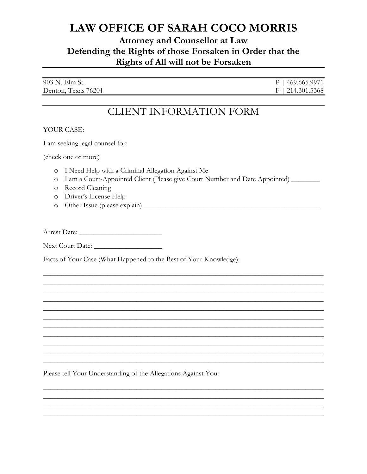### **Attorney and Counsellor at Law** Defending the Rights of those Forsaken in Order that the Rights of All will not be Forsaken

| 903 N. Elm St.      | $P$   469.665.9971 |
|---------------------|--------------------|
| Denton, Texas 76201 | $F$   214.301.5368 |

## **CLIENT INFORMATION FORM**

#### YOUR CASE:

I am seeking legal counsel for:

(check one or more)

- o I Need Help with a Criminal Allegation Against Me
- 0 I am a Court-Appointed Client (Please give Court Number and Date Appointed) \_\_\_\_\_\_\_
- o Record Cleaning
- o Driver's License Help
- 

Next Court Date:

Facts of Your Case (What Happened to the Best of Your Knowledge):

Please tell Your Understanding of the Allegations Against You: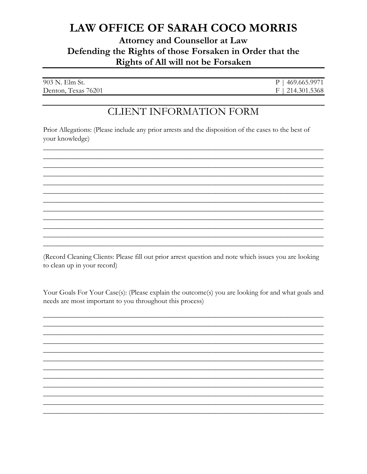### **Attorney and Counsellor at Law** Defending the Rights of those Forsaken in Order that the Rights of All will not be Forsaken

| 903 N. Elm St.      | $P$   469.665.9971 |
|---------------------|--------------------|
| Denton, Texas 76201 | $F$   214.301.5368 |

## **CLIENT INFORMATION FORM**

Prior Allegations: (Please include any prior arrests and the disposition of the cases to the best of your knowledge)

(Record Cleaning Clients: Please fill out prior arrest question and note which issues you are looking to clean up in your record)

Your Goals For Your Case(s): (Please explain the outcome(s) you are looking for and what goals and needs are most important to you throughout this process)